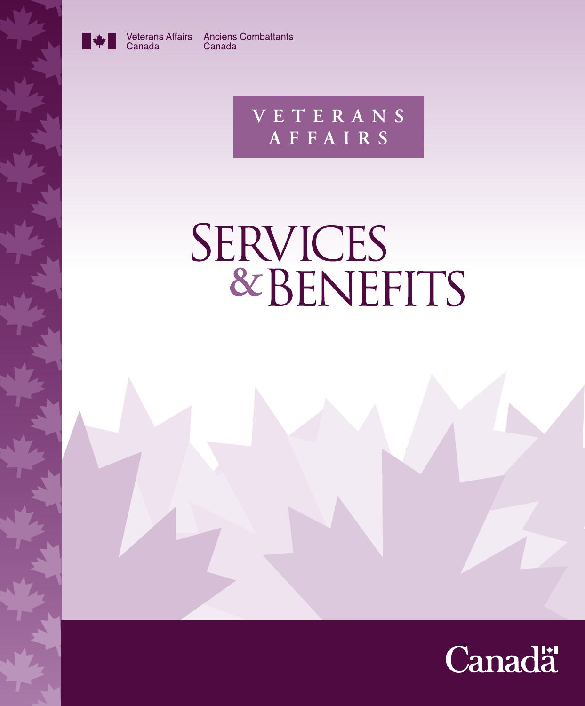

Canada

Veterans Affairs Anciens Combattants Canada

> **VETERANS** AFFAIRS

# SERVICES<br>& BENEFITS

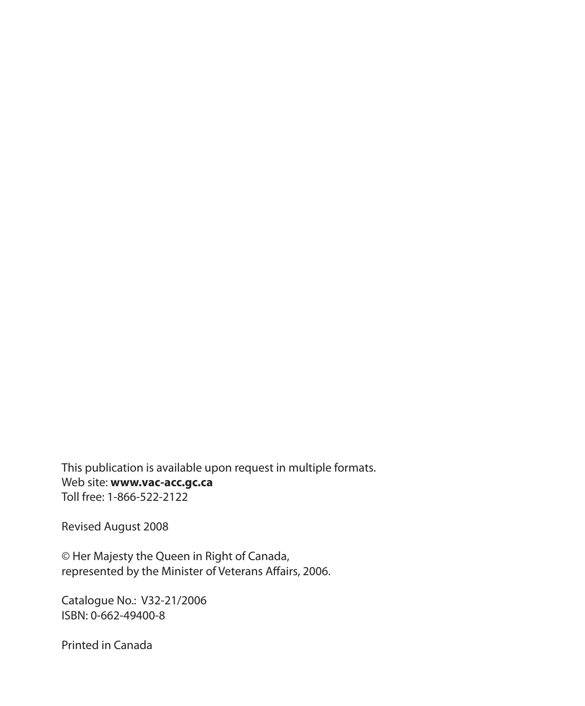This publication is available upon request in multiple formats. Web site: **www.vac-acc.gc.ca** Toll free: 1-866-522-2122

Revised August 2008

© Her Majesty the Queen in Right of Canada, represented by the Minister of Veterans Affairs, 2006.

Catalogue No.: V32-21/2006 ISBN: 0-662-49400-8

Printed in Canada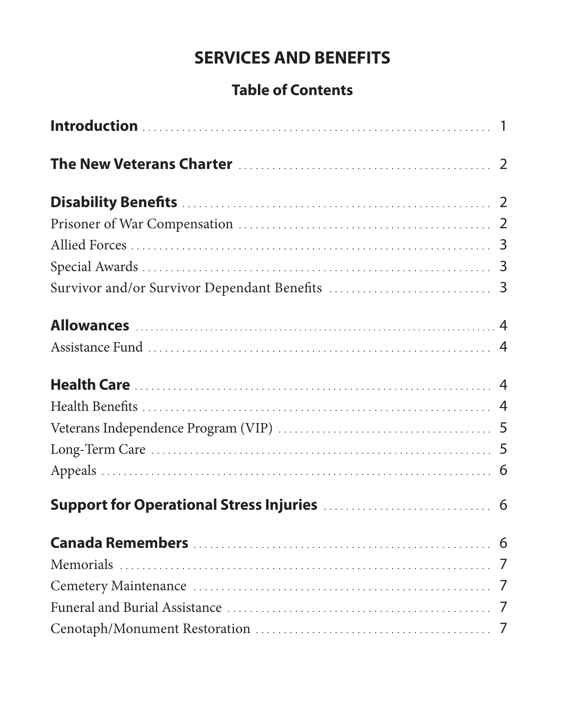# **SERVICES AND BENEFITS**

# **Table of Contents**

| Support for Operational Stress Injuries [11] Allenances Support for Operational Stress Injuries [11] Allenance |  |
|----------------------------------------------------------------------------------------------------------------|--|
|                                                                                                                |  |
|                                                                                                                |  |
|                                                                                                                |  |
|                                                                                                                |  |
|                                                                                                                |  |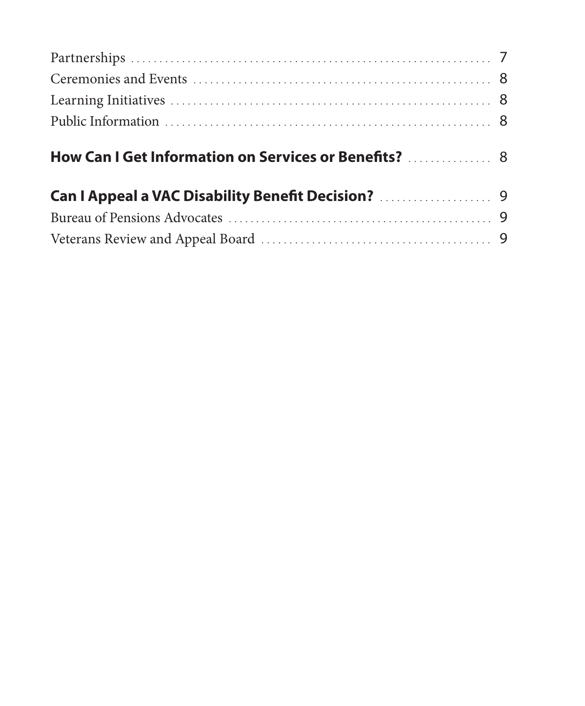| How Can I Get Information on Services or Benefits?  8 |  |
|-------------------------------------------------------|--|
|                                                       |  |
|                                                       |  |
|                                                       |  |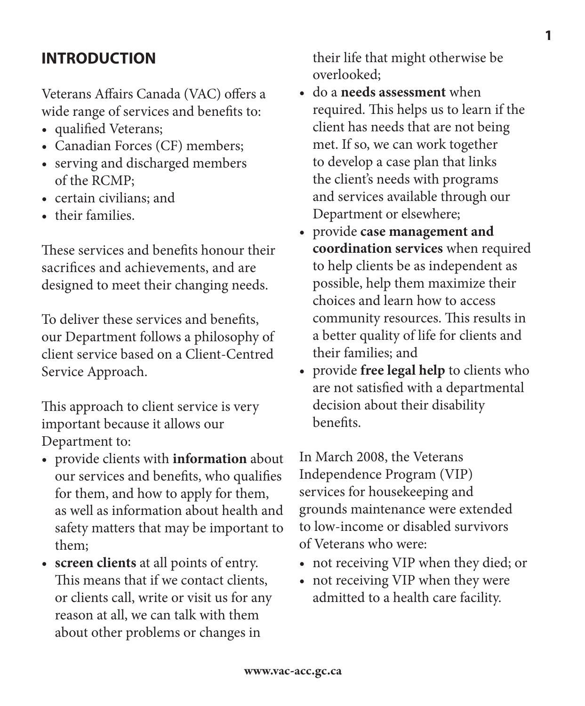# **INTRODUCTION**

Veterans Affairs Canada (VAC) offers a wide range of services and benefits to:

- qualified Veterans;
- Canadian Forces (CF) members;
- serving and discharged members of the RCMP;
- certain civilians; and
- their families.

These services and benefits honour their sacrifices and achievements, and are designed to meet their changing needs.

To deliver these services and benefits, our Department follows a philosophy of client service based on a Client-Centred Service Approach.

This approach to client service is very important because it allows our Department to:

- provide clients with **information** about our services and benefits, who qualifies for them, and how to apply for them, as well as information about health and safety matters that may be important to them;
- **screen clients** at all points of entry. This means that if we contact clients, or clients call, write or visit us for any reason at all, we can talk with them about other problems or changes in

their life that might otherwise be overlooked;

- do a **needs assessment** when required. This helps us to learn if the client has needs that are not being met. If so, we can work together to develop a case plan that links the client's needs with programs and services available through our Department or elsewhere;
- provide **case management and coordination services** when required to help clients be as independent as possible, help them maximize their choices and learn how to access community resources. This results in a better quality of life for clients and their families; and
- provide **free legal help** to clients who are not satisfied with a departmental decision about their disability benefits.

In March 2008, the Veterans Independence Program (VIP) services for housekeeping and grounds maintenance were extended to low-income or disabled survivors of Veterans who were:

- not receiving VIP when they died; or
- not receiving VIP when they were admitted to a health care facility.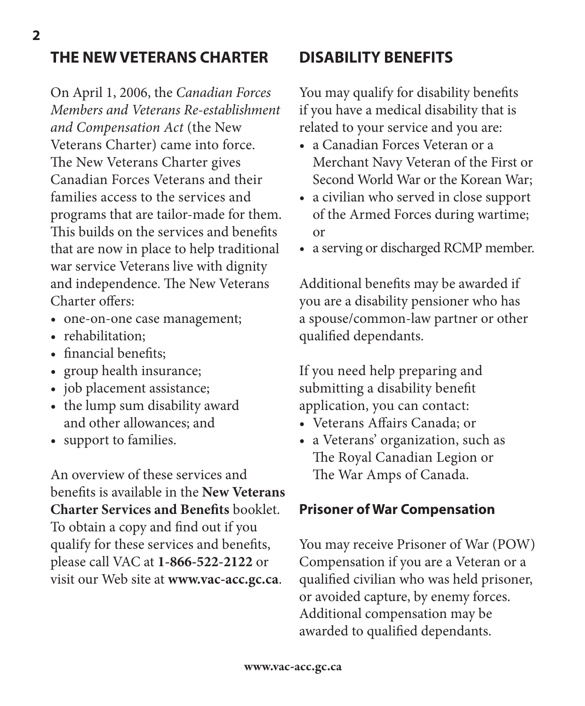## **THE NEW VETERANS CHARTER**

On April 1, 2006, the *Canadian Forces Members and Veterans Re-establishment and Compensation Act* (the New Veterans Charter) came into force. The New Veterans Charter gives Canadian Forces Veterans and their families access to the services and programs that are tailor-made for them. This builds on the services and benefits that are now in place to help traditional war service Veterans live with dignity and independence. The New Veterans Charter offers:

- one-on-one case management;
- rehabilitation;
- financial benefits;
- group health insurance;
- job placement assistance;
- the lump sum disability award and other allowances; and
- support to families.

An overview of these services and benefits is available in the **New Veterans Charter Services and Benefits** booklet. To obtain a copy and find out if you qualify for these services and benefits, please call VAC at **1-866-522-2122** or visit our Web site at **www.vac-acc.gc.ca**.

## **DISABILITY BENEFITS**

You may qualify for disability benefits if you have a medical disability that is related to your service and you are:

- a Canadian Forces Veteran or a Merchant Navy Veteran of the First or Second World War or the Korean War;
- a civilian who served in close support of the Armed Forces during wartime; or
- a serving or discharged RCMP member.

Additional benefits may be awarded if you are a disability pensioner who has a spouse/common-law partner or other qualified dependants.

If you need help preparing and submitting a disability benefit application, you can contact:

- Veterans Affairs Canada; or
- a Veterans' organization, such as The Royal Canadian Legion or The War Amps of Canada.

#### **Prisoner of War Compensation**

You may receive Prisoner of War (POW) Compensation if you are a Veteran or a qualified civilian who was held prisoner, or avoided capture, by enemy forces. Additional compensation may be awarded to qualified dependants.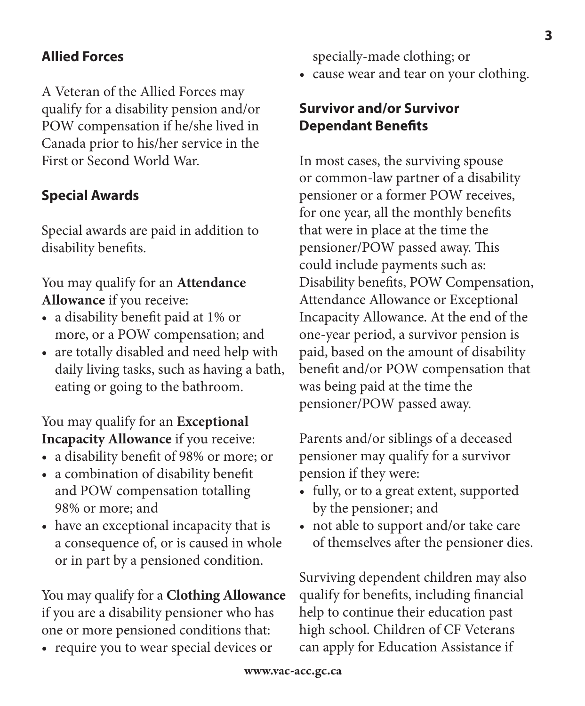## **Allied Forces**

A Veteran of the Allied Forces may qualify for a disability pension and/or POW compensation if he/she lived in Canada prior to his/her service in the First or Second World War.

### **Special Awards**

Special awards are paid in addition to disability benefits.

#### You may qualify for an **Attendance Allowance** if you receive:

- a disability benefit paid at 1% or more, or a POW compensation; and
- are totally disabled and need help with daily living tasks, such as having a bath, eating or going to the bathroom.

#### You may qualify for an **Exceptional Incapacity Allowance** if you receive:

- a disability benefit of 98% or more; or
- a combination of disability benefit and POW compensation totalling 98% or more; and
- have an exceptional incapacity that is a consequence of, or is caused in whole or in part by a pensioned condition.

You may qualify for a **Clothing Allowance** if you are a disability pensioner who has one or more pensioned conditions that:

• require you to wear special devices or

specially-made clothing; or

• cause wear and tear on your clothing.

#### **Survivor and/or Survivor Dependant Benefits**

In most cases, the surviving spouse or common-law partner of a disability pensioner or a former POW receives, for one year, all the monthly benefits that were in place at the time the pensioner/POW passed away. This could include payments such as: Disability benefits, POW Compensation, Attendance Allowance or Exceptional Incapacity Allowance. At the end of the one-year period, a survivor pension is paid, based on the amount of disability benefit and/or POW compensation that was being paid at the time the pensioner/POW passed away.

Parents and/or siblings of a deceased pensioner may qualify for a survivor pension if they were:

- fully, or to a great extent, supported by the pensioner; and
- not able to support and/or take care of themselves after the pensioner dies.

Surviving dependent children may also qualify for benefits, including financial help to continue their education past high school. Children of CF Veterans can apply for Education Assistance if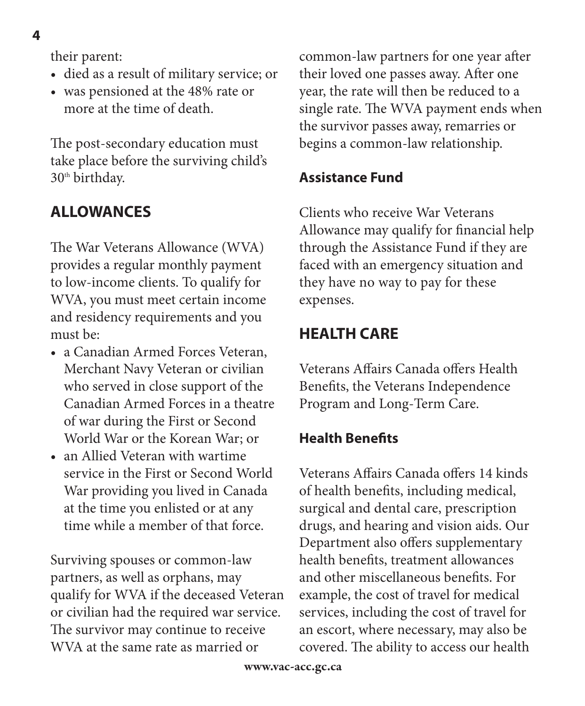4

their parent:

- died as a result of military service; or
- was pensioned at the 48% rate or more at the time of death.

The post-secondary education must take place before the surviving child's 30<sup>th</sup> birthday.

# **ALLOWANCES**

The War Veterans Allowance (WVA) provides a regular monthly payment to low-income clients. To qualify for WVA, you must meet certain income and residency requirements and you must be:

- a Canadian Armed Forces Veteran, Merchant Navy Veteran or civilian who served in close support of the Canadian Armed Forces in a theatre of war during the First or Second World War or the Korean War; or
- an Allied Veteran with wartime service in the First or Second World War providing you lived in Canada at the time you enlisted or at any time while a member of that force.

Surviving spouses or common-law partners, as well as orphans, may qualify for WVA if the deceased Veteran or civilian had the required war service. The survivor may continue to receive WVA at the same rate as married or

common-law partners for one year after their loved one passes away. After one year, the rate will then be reduced to a single rate. The WVA payment ends when the survivor passes away, remarries or begins a common-law relationship.

## **Assistance Fund**

Clients who receive War Veterans Allowance may qualify for financial help through the Assistance Fund if they are faced with an emergency situation and they have no way to pay for these expenses.

# **HEALTH CARE**

Veterans Affairs Canada offers Health Benefits, the Veterans Independence Program and Long-Term Care.

## **Health Benefits**

Veterans Affairs Canada offers 14 kinds of health benefits, including medical, surgical and dental care, prescription drugs, and hearing and vision aids. Our Department also offers supplementary health benefits, treatment allowances and other miscellaneous benefits. For example, the cost of travel for medical services, including the cost of travel for an escort, where necessary, may also be covered. The ability to access our health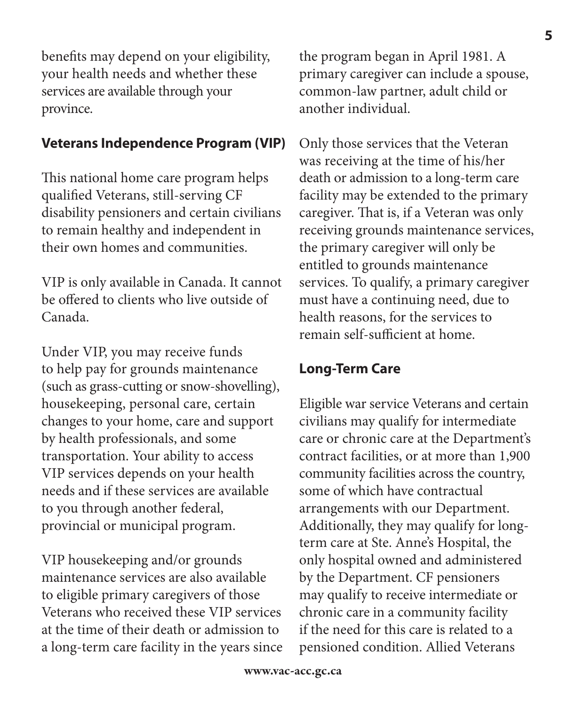benefits may depend on your eligibility, your health needs and whether these services are available through your province.

#### **Veterans Independence Program (VIP)**

This national home care program helps qualified Veterans, still-serving CF disability pensioners and certain civilians to remain healthy and independent in their own homes and communities.

VIP is only available in Canada. It cannot be offered to clients who live outside of Canada.

Under VIP, you may receive funds to help pay for grounds maintenance (such as grass-cutting or snow-shovelling), housekeeping, personal care, certain changes to your home, care and support by health professionals, and some transportation. Your ability to access VIP services depends on your health needs and if these services are available to you through another federal, provincial or municipal program.

VIP housekeeping and/or grounds maintenance services are also available to eligible primary caregivers of those Veterans who received these VIP services at the time of their death or admission to a long-term care facility in the years since the program began in April 1981. A primary caregiver can include a spouse, common-law partner, adult child or another individual.

Only those services that the Veteran was receiving at the time of his/her death or admission to a long-term care facility may be extended to the primary caregiver. That is, if a Veteran was only receiving grounds maintenance services, the primary caregiver will only be entitled to grounds maintenance services. To qualify, a primary caregiver must have a continuing need, due to health reasons, for the services to remain self-sufficient at home.

#### **Long-Term Care**

Eligible war service Veterans and certain civilians may qualify for intermediate care or chronic care at the Department's contract facilities, or at more than 1,900 community facilities across the country, some of which have contractual arrangements with our Department. Additionally, they may qualify for longterm care at Ste. Anne's Hospital, the only hospital owned and administered by the Department. CF pensioners may qualify to receive intermediate or chronic care in a community facility if the need for this care is related to a pensioned condition. Allied Veterans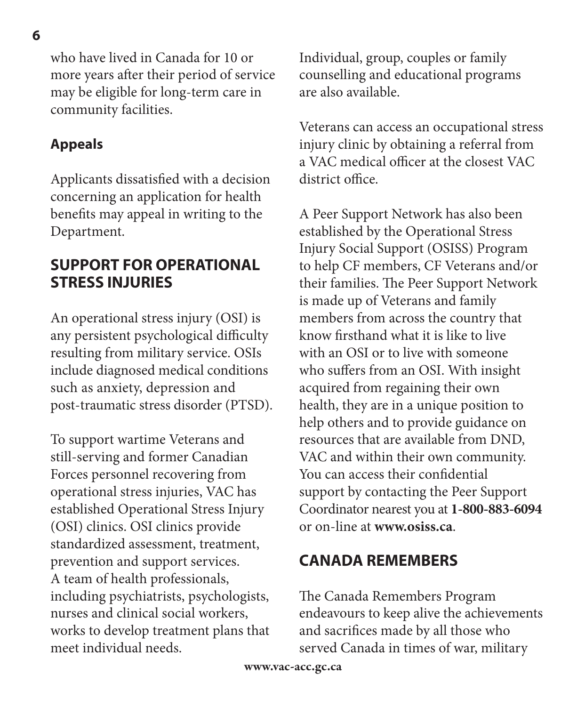who have lived in Canada for 10 or more years after their period of service may be eligible for long-term care in community facilities.

#### **Appeals**

Applicants dissatisfied with a decision concerning an application for health benefits may appeal in writing to the Department.

### **SUPPORT FOR OPERATIONAL STRESS INJURIES**

An operational stress injury (OSI) is any persistent psychological difficulty resulting from military service. OSIs include diagnosed medical conditions such as anxiety, depression and post-traumatic stress disorder (PTSD).

To support wartime Veterans and still-serving and former Canadian Forces personnel recovering from operational stress injuries, VAC has established Operational Stress Injury (OSI) clinics. OSI clinics provide standardized assessment, treatment, prevention and support services. A team of health professionals, including psychiatrists, psychologists, nurses and clinical social workers, works to develop treatment plans that meet individual needs.

Individual, group, couples or family counselling and educational programs are also available.

Veterans can access an occupational stress injury clinic by obtaining a referral from a VAC medical officer at the closest VAC district office.

A Peer Support Network has also been established by the Operational Stress Injury Social Support (OSISS) Program to help CF members, CF Veterans and/or their families. The Peer Support Network is made up of Veterans and family members from across the country that know firsthand what it is like to live with an OSI or to live with someone who suffers from an OSI. With insight acquired from regaining their own health, they are in a unique position to help others and to provide guidance on resources that are available from DND, VAC and within their own community. You can access their confidential support by contacting the Peer Support Coordinator nearest you at **1-800-883-6094** or on-line at **www.osiss.ca**.

## **CANADA REMEMBERS**

The Canada Remembers Program endeavours to keep alive the achievements and sacrifices made by all those who served Canada in times of war, military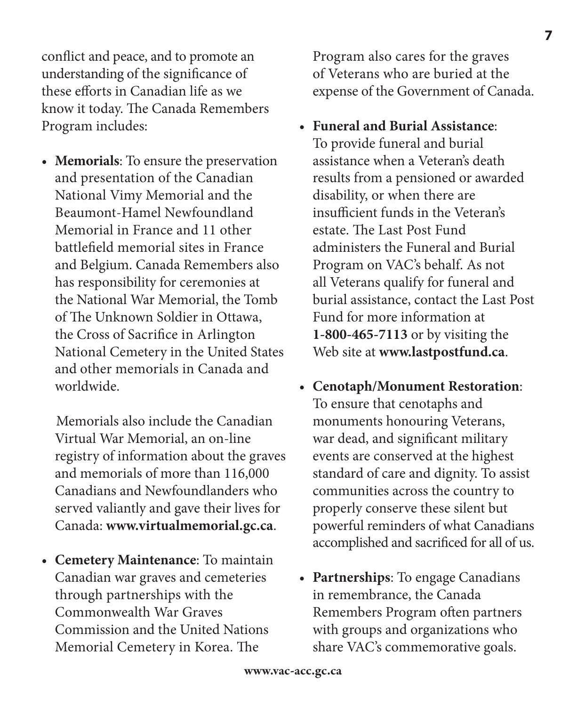conflict and peace, and to promote an understanding of the significance of these efforts in Canadian life as we know it today. The Canada Remembers Program includes:

• **Memorials**: To ensure the preservation and presentation of the Canadian National Vimy Memorial and the Beaumont-Hamel Newfoundland Memorial in France and 11 other battlefield memorial sites in France and Belgium. Canada Remembers also has responsibility for ceremonies at the National War Memorial, the Tomb of The Unknown Soldier in Ottawa, the Cross of Sacrifice in Arlington National Cemetery in the United States and other memorials in Canada and worldwide.

Memorials also include the Canadian Virtual War Memorial, an on-line registry of information about the graves and memorials of more than 116,000 Canadians and Newfoundlanders who served valiantly and gave their lives for Canada: **www.virtualmemorial.gc.ca**.

• **Cemetery Maintenance**: To maintain Canadian war graves and cemeteries through partnerships with the Commonwealth War Graves Commission and the United Nations Memorial Cemetery in Korea. The

Program also cares for the graves of Veterans who are buried at the expense of the Government of Canada.

- **Funeral and Burial Assistance**: To provide funeral and burial assistance when a Veteran's death results from a pensioned or awarded disability, or when there are insufficient funds in the Veteran's estate. The Last Post Fund administers the Funeral and Burial Program on VAC's behalf. As not all Veterans qualify for funeral and burial assistance, contact the Last Post Fund for more information at **1-800-465-7113** or by visiting the Web site at **www.lastpostfund.ca**.
- **Cenotaph/Monument Restoration**: To ensure that cenotaphs and monuments honouring Veterans, war dead, and significant military events are conserved at the highest standard of care and dignity. To assist communities across the country to properly conserve these silent but powerful reminders of what Canadians accomplished and sacrificed for all of us.
- **Partnerships**: To engage Canadians in remembrance, the Canada Remembers Program often partners with groups and organizations who share VAC's commemorative goals.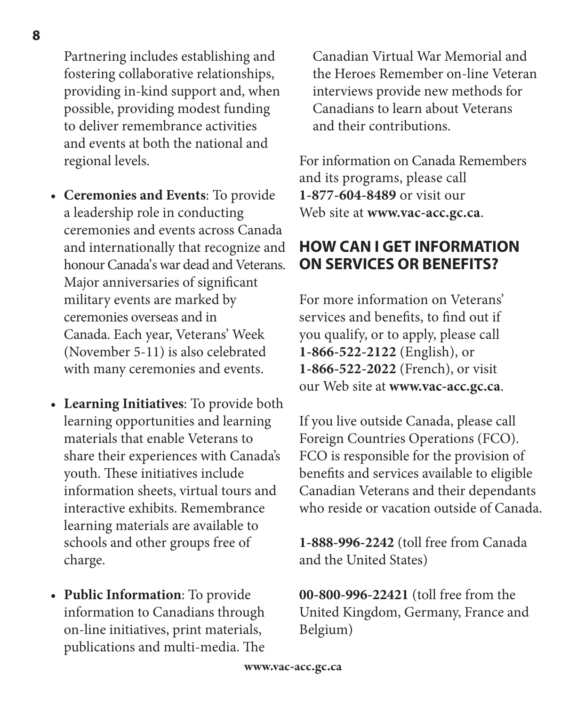Partnering includes establishing and fostering collaborative relationships, providing in-kind support and, when possible, providing modest funding to deliver remembrance activities and events at both the national and regional levels.

- **Ceremonies and Events**: To provide a leadership role in conducting ceremonies and events across Canada and internationally that recognize and honour Canada's war dead and Veterans. Major anniversaries of significant military events are marked by ceremonies overseas and in Canada. Each year, Veterans' Week (November 5-11) is also celebrated with many ceremonies and events.
- **Learning Initiatives**: To provide both learning opportunities and learning materials that enable Veterans to share their experiences with Canada's youth. These initiatives include information sheets, virtual tours and interactive exhibits. Remembrance learning materials are available to schools and other groups free of charge.
- **Public Information**: To provide information to Canadians through on-line initiatives, print materials, publications and multi-media. The

Canadian Virtual War Memorial and the Heroes Remember on-line Veteran interviews provide new methods for Canadians to learn about Veterans and their contributions.

For information on Canada Remembers and its programs, please call **1-877-604-8489** or visit our Web site at **www.vac-acc.gc.ca**.

## **HOW CAN I GET INFORMATION ON SERVICES OR BENEFITS?**

For more information on Veterans' services and benefits, to find out if you qualify, or to apply, please call **1-866-522-2122** (English), or **1-866-522-2022** (French), or visit our Web site at **www.vac-acc.gc.ca**.

If you live outside Canada, please call Foreign Countries Operations (FCO). FCO is responsible for the provision of benefits and services available to eligible Canadian Veterans and their dependants who reside or vacation outside of Canada.

**1-888-996-2242** (toll free from Canada and the United States)

**00-800-996-22421** (toll free from the United Kingdom, Germany, France and Belgium)